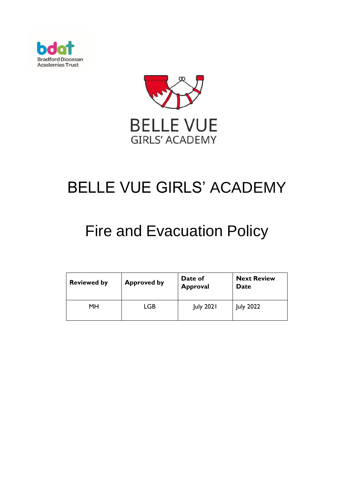



# BELLE VUE GIRLS' ACADEMY

# Fire and Evacuation Policy

| <b>Reviewed by</b> | <b>Approved by</b> | Date of<br><b>Approval</b> | <b>Next Review</b><br>Date |
|--------------------|--------------------|----------------------------|----------------------------|
| MН                 | LGB                | <b>July 2021</b>           | <b>July 2022</b>           |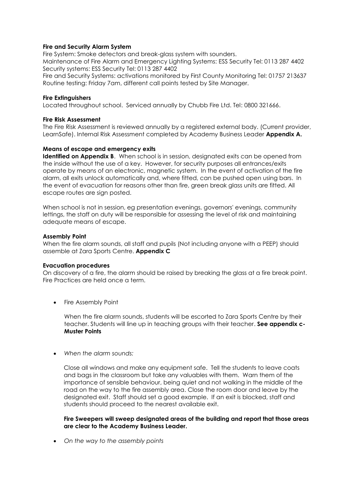# **Fire and Security Alarm System**

Fire System: Smoke detectors and break-glass system with sounders. Maintenance of Fire Alarm and Emergency Lighting Systems: ESS Security Tel: 0113 287 4402 Security systems: ESS Security Tel: 0113 287 4402 Fire and Security Systems: activations monitored by First County Monitoring Tel: 01757 213637

Routine testing: Friday 7am, different call points tested by Site Manager.

### **Fire Extinguishers**

Located throughout school. Serviced annually by Chubb Fire Ltd. Tel: 0800 321666.

### **Fire Risk Assessment**

The Fire Risk Assessment is reviewed annually by a registered external body. (Current provider, LearnSafe). Internal Risk Assessment completed by Academy Business Leader **Appendix A.** 

# **Means of escape and emergency exits**

**Identified on Appendix B**. When school is in session, designated exits can be opened from the inside without the use of a key. However, for security purposes all entrances/exits operate by means of an electronic, magnetic system. In the event of activation of the fire alarm, all exits unlock automatically and, where fitted, can be pushed open using bars. In the event of evacuation for reasons other than fire, green break glass units are fitted. All escape routes are sign posted.

When school is not in session, eg presentation evenings, governors' evenings, community lettings, the staff on duty will be responsible for assessing the level of risk and maintaining adequate means of escape.

# **Assembly Point**

When the fire alarm sounds, all staff and pupils (Not including anyone with a PEEP) should assemble at Zara Sports Centre. **Appendix C**

#### **Evacuation procedures**

On discovery of a fire, the alarm should be raised by breaking the glass at a fire break point. Fire Practices are held once a term.

• Fire Assembly Point

When the fire alarm sounds, students will be escorted to Zara Sports Centre by their teacher. Students will line up in teaching groups with their teacher. **See appendix c-Muster Points** 

*When the alarm sounds:*

Close all windows and make any equipment safe. Tell the students to leave coats and bags in the classroom but take any valuables with them. Warn them of the importance of sensible behaviour, being quiet and not walking in the middle of the road on the way to the fire assembly area. Close the room door and leave by the designated exit. Staff should set a good example. If an exit is blocked, staff and students should proceed to the nearest available exit.

**Fire Sweepers will sweep designated areas of the building and report that those areas are clear to the Academy Business Leader.**

*On the way to the assembly points*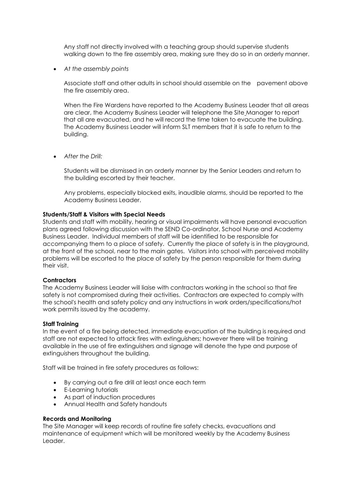Any staff not directly involved with a teaching group should supervise students walking down to the fire assembly area, making sure they do so in an orderly manner.

*At the assembly points*

Associate staff and other adults in school should assemble on the pavement above the fire assembly area.

When the Fire Wardens have reported to the Academy Business Leader that all areas are clear, the Academy Business Leader will telephone the Site Manager to report that all are evacuated, and he will record the time taken to evacuate the building. The Academy Business Leader will inform SLT members that it is safe to return to the building.

*After the Drill:*

Students will be dismissed in an orderly manner by the Senior Leaders and return to the building escorted by their teacher.

Any problems, especially blocked exits, inaudible alarms, should be reported to the Academy Business Leader.

# **Students/Staff & Visitors with Special Needs**

Students and staff with mobility, hearing or visual impairments will have personal evacuation plans agreed following discussion with the SEND Co-ordinator, School Nurse and Academy Business Leader. Individual members of staff will be identified to be responsible for accompanying them to a place of safety. Currently the place of safety is in the playground, at the front of the school, near to the main gates. Visitors into school with perceived mobility problems will be escorted to the place of safety by the person responsible for them during their visit.

#### **Contractors**

The Academy Business Leader will liaise with contractors working in the school so that fire safety is not compromised during their activities. Contractors are expected to comply with the school's health and safety policy and any instructions in work orders/specifications/hot work permits issued by the academy.

#### **Staff Training**

In the event of a fire being detected, immediate evacuation of the building is required and staff are not expected to attack fires with extinguishers; however there will be training available in the use of fire extinguishers and signage will denote the type and purpose of extinguishers throughout the building.

Staff will be trained in fire safety procedures as follows:

- By carrying out a fire drill at least once each term
- E-Learning tutorials
- As part of induction procedures
- Annual Health and Safety handouts

#### **Records and Monitoring**

The Site Manager will keep records of routine fire safety checks, evacuations and maintenance of equipment which will be monitored weekly by the Academy Business Leader.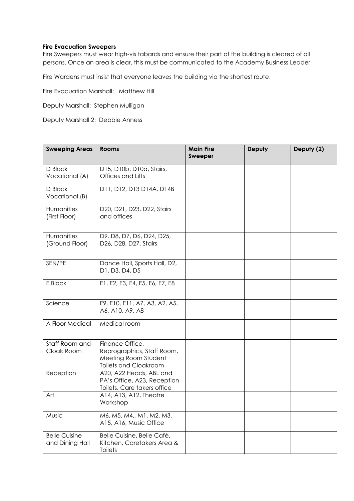# **Fire Evacuation Sweepers**

Fire Sweepers must wear high-vis tabards and ensure their part of the building is cleared of all persons. Once an area is clear, this must be communicated to the Academy Business Leader

Fire Wardens must insist that everyone leaves the building via the shortest route.

Fire Evacuation Marshall: Matthew Hill

Deputy Marshall: Stephen Mulligan

Deputy Marshall 2: Debbie Anness

| <b>Sweeping Areas</b>                   | <b>Rooms</b>                                                                                          | <b>Main Fire</b><br><b>Sweeper</b> | Deputy | Deputy (2) |
|-----------------------------------------|-------------------------------------------------------------------------------------------------------|------------------------------------|--------|------------|
| D Block<br>Vocational (A)               | D15, D10b, D10a, Stairs,<br>Offices and Lifts                                                         |                                    |        |            |
| D Block<br>Vocational (B)               | D11, D12, D13 D14A, D14B                                                                              |                                    |        |            |
| Humanities<br>(First Floor)             | D20, D21, D23, D22, Stairs<br>and offices                                                             |                                    |        |            |
| Humanities<br>(Ground Floor)            | D9. D8, D7, D6, D24, D25,<br>D26, D28, D27, Stairs                                                    |                                    |        |            |
| SEN/PE                                  | Dance Hall, Sports Hall, D2,<br>D1, D3, D4, D5                                                        |                                    |        |            |
| E Block                                 | E1, E2, E3, E4, E5, E6, E7, E8                                                                        |                                    |        |            |
| Science                                 | E9, E10, E11, A7, A3, A2, A5,<br>A6, A10, A9, A8                                                      |                                    |        |            |
| A Floor Medical                         | Medical room                                                                                          |                                    |        |            |
| Staff Room and<br>Cloak Room            | Finance Office,<br>Reprographics, Staff Room,<br>Meeting Room Student<br><b>Toilets and Cloakroom</b> |                                    |        |            |
| Reception                               | A20, A22 Heads, ABL and<br>PA's Office, A23, Reception<br>Toilets, Care takers office                 |                                    |        |            |
| Art                                     | A14, A13, A12, Theatre<br>Workshop                                                                    |                                    |        |            |
| Music                                   | M6, M5, M4,, M1, M2, M3,<br>A15, A16, Music Office                                                    |                                    |        |            |
| <b>Belle Cuisine</b><br>and Dining Hall | Belle Cuisine, Belle Café,<br>Kitchen, Caretakers Area &<br>Toilets                                   |                                    |        |            |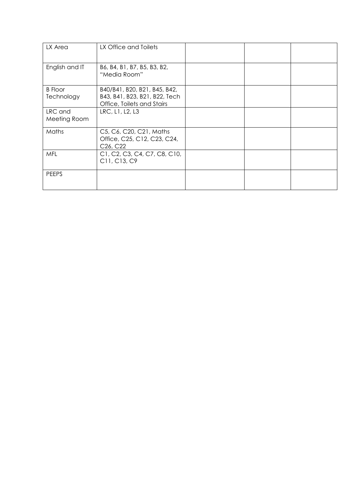| LX Area                      | LX Office and Toilets                                                                       |  |  |
|------------------------------|---------------------------------------------------------------------------------------------|--|--|
| English and IT               | B6, B4, B1, B7, B5, B3, B2,<br>"Media Room"                                                 |  |  |
| <b>B</b> Floor<br>Technology | B40/B41, B20, B21, B45, B42,<br>B43, B41, B23, B21, B22, Tech<br>Office, Toilets and Stairs |  |  |
| LRC and<br>Meeting Room      | LRC, L1, L2, L3                                                                             |  |  |
| Maths                        | C5, C6, C20, C21, Maths<br>Office, C25, C12, C23, C24,<br>C <sub>26</sub> , C <sub>22</sub> |  |  |
| <b>MFL</b>                   | C1, C2, C3, C4, C7, C8, C10,<br>C11, C13, C9                                                |  |  |
| <b>PEEPS</b>                 |                                                                                             |  |  |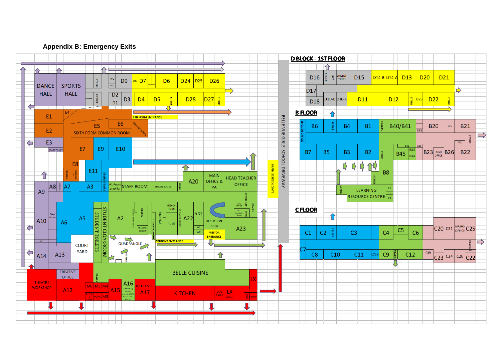

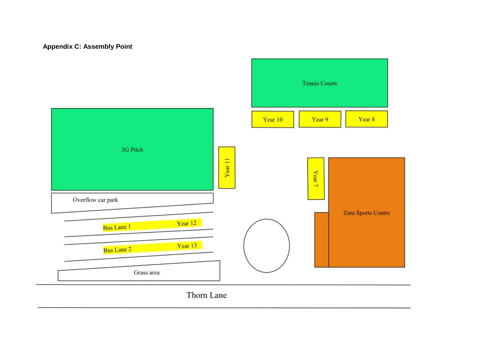# **Appendix C: Assembly Point**



Thorn Lane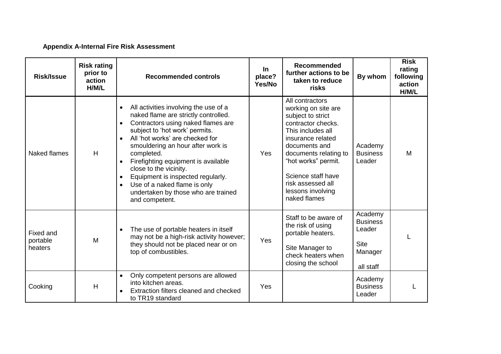# **Appendix A-Internal Fire Risk Assessment**

| <b>Risk/Issue</b>                | <b>Risk rating</b><br>prior to<br>action<br>H/M/L | <b>Recommended controls</b>                                                                                                                                                                                                                                                                                                                                                                                                                                                       | In.<br>place?<br>Yes/No | <b>Recommended</b><br>further actions to be<br>taken to reduce<br>risks                                                                                                                                                                                                      | By whom                                                                     | <b>Risk</b><br>rating<br>following<br>action<br>H/M/L |
|----------------------------------|---------------------------------------------------|-----------------------------------------------------------------------------------------------------------------------------------------------------------------------------------------------------------------------------------------------------------------------------------------------------------------------------------------------------------------------------------------------------------------------------------------------------------------------------------|-------------------------|------------------------------------------------------------------------------------------------------------------------------------------------------------------------------------------------------------------------------------------------------------------------------|-----------------------------------------------------------------------------|-------------------------------------------------------|
| Naked flames                     | H                                                 | All activities involving the use of a<br>naked flame are strictly controlled.<br>Contractors using naked flames are<br>subject to 'hot work' permits.<br>All 'hot works' are checked for<br>smouldering an hour after work is<br>completed.<br>Firefighting equipment is available<br>$\bullet$<br>close to the vicinity.<br>Equipment is inspected regularly.<br>$\bullet$<br>Use of a naked flame is only<br>$\bullet$<br>undertaken by those who are trained<br>and competent. | Yes                     | All contractors<br>working on site are<br>subject to strict<br>contractor checks.<br>This includes all<br>insurance related<br>documents and<br>documents relating to<br>"hot works" permit.<br>Science staff have<br>risk assessed all<br>lessons involving<br>naked flames | Academy<br><b>Business</b><br>Leader                                        | M                                                     |
| Fixed and<br>portable<br>heaters | M                                                 | The use of portable heaters in itself<br>$\bullet$<br>may not be a high-risk activity however;<br>they should not be placed near or on<br>top of combustibles.                                                                                                                                                                                                                                                                                                                    | <b>Yes</b>              | Staff to be aware of<br>the risk of using<br>portable heaters.<br>Site Manager to<br>check heaters when<br>closing the school                                                                                                                                                | Academy<br><b>Business</b><br>Leader<br><b>Site</b><br>Manager<br>all staff |                                                       |
| Cooking                          | H                                                 | Only competent persons are allowed<br>$\bullet$<br>into kitchen areas.<br>Extraction filters cleaned and checked<br>to TR19 standard                                                                                                                                                                                                                                                                                                                                              | Yes                     |                                                                                                                                                                                                                                                                              | Academy<br><b>Business</b><br>Leader                                        |                                                       |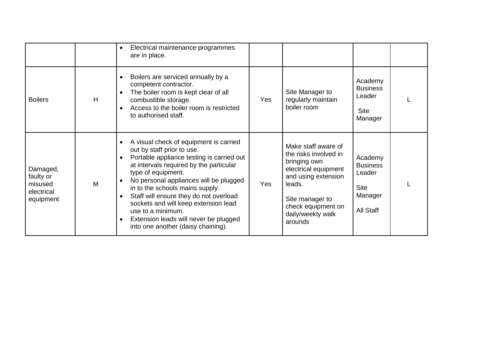|                                                             |   | Electrical maintenance programmes<br>$\bullet$<br>are in place.                                                                                                                                                                                                                                                                                                                                                                                                                                           |            |                                                                                                                                                                                                |                                                                             |  |
|-------------------------------------------------------------|---|-----------------------------------------------------------------------------------------------------------------------------------------------------------------------------------------------------------------------------------------------------------------------------------------------------------------------------------------------------------------------------------------------------------------------------------------------------------------------------------------------------------|------------|------------------------------------------------------------------------------------------------------------------------------------------------------------------------------------------------|-----------------------------------------------------------------------------|--|
| <b>Boilers</b>                                              | H | Boilers are serviced annually by a<br>competent contractor.<br>The boiler room is kept clear of all<br>$\bullet$<br>combustible storage.<br>Access to the boiler room is restricted<br>$\bullet$<br>to authorised staff.                                                                                                                                                                                                                                                                                  | Yes        | Site Manager to<br>regularly maintain<br>boiler room                                                                                                                                           | Academy<br><b>Business</b><br>Leader<br><b>Site</b><br>Manager              |  |
| Damaged,<br>faulty or<br>misused<br>electrical<br>equipment | M | A visual check of equipment is carried<br>$\bullet$<br>out by staff prior to use.<br>Portable appliance testing is carried out<br>$\bullet$<br>at intervals required by the particular<br>type of equipment.<br>No personal appliances will be plugged<br>in to the schools mains supply.<br>Staff will ensure they do not overload<br>$\bullet$<br>sockets and will keep extension lead<br>use to a minimum.<br>Extension leads will never be plugged<br>$\bullet$<br>into one another (daisy chaining). | <b>Yes</b> | Make staff aware of<br>the risks involved in<br>bringing own<br>electrical equipment<br>and using extension<br>leads.<br>Site manager to<br>check equipment on<br>daily/weekly walk<br>arounds | Academy<br><b>Business</b><br>Leader<br><b>Site</b><br>Manager<br>All Staff |  |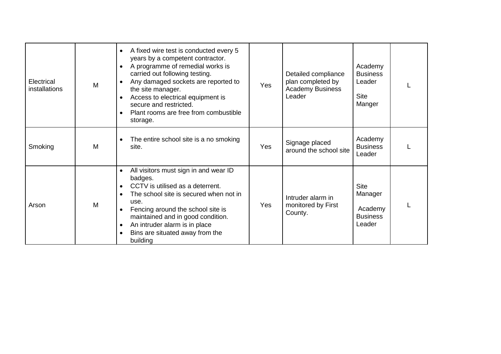| Electrical<br>installations | M | A fixed wire test is conducted every 5<br>$\bullet$<br>years by a competent contractor.<br>A programme of remedial works is<br>$\bullet$<br>carried out following testing.<br>Any damaged sockets are reported to<br>$\bullet$<br>the site manager.<br>Access to electrical equipment is<br>$\bullet$<br>secure and restricted.<br>Plant rooms are free from combustible<br>$\bullet$<br>storage. | Yes        | Detailed compliance<br>plan completed by<br><b>Academy Business</b><br>Leader | Academy<br><b>Business</b><br>Leader<br><b>Site</b><br>Manger  |  |
|-----------------------------|---|---------------------------------------------------------------------------------------------------------------------------------------------------------------------------------------------------------------------------------------------------------------------------------------------------------------------------------------------------------------------------------------------------|------------|-------------------------------------------------------------------------------|----------------------------------------------------------------|--|
| Smoking                     | M | The entire school site is a no smoking<br>$\bullet$<br>site.                                                                                                                                                                                                                                                                                                                                      | <b>Yes</b> | Signage placed<br>around the school site                                      | Academy<br><b>Business</b><br>Leader                           |  |
| Arson                       | M | All visitors must sign in and wear ID<br>$\bullet$<br>badges.<br>CCTV is utilised as a deterrent.<br>$\bullet$<br>The school site is secured when not in<br>$\bullet$<br>use.<br>Fencing around the school site is<br>$\bullet$<br>maintained and in good condition.<br>An intruder alarm is in place<br>$\bullet$<br>Bins are situated away from the<br>building                                 | Yes        | Intruder alarm in<br>monitored by First<br>County.                            | <b>Site</b><br>Manager<br>Academy<br><b>Business</b><br>Leader |  |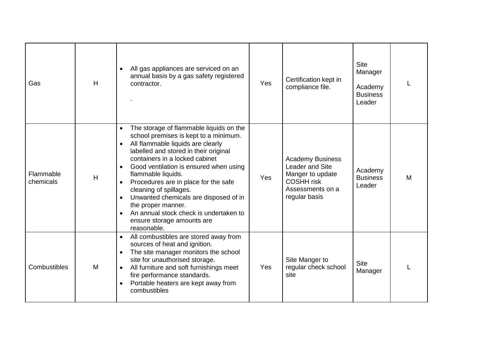| Gas                    | H | All gas appliances are serviced on an<br>$\bullet$<br>annual basis by a gas safety registered<br>contractor.                                                                                                                                                                                                                                                                                                                                                                                                                                 | Yes | Certification kept in<br>compliance file.                                                                                | <b>Site</b><br>Manager<br>Academy<br><b>Business</b><br>Leader |   |
|------------------------|---|----------------------------------------------------------------------------------------------------------------------------------------------------------------------------------------------------------------------------------------------------------------------------------------------------------------------------------------------------------------------------------------------------------------------------------------------------------------------------------------------------------------------------------------------|-----|--------------------------------------------------------------------------------------------------------------------------|----------------------------------------------------------------|---|
| Flammable<br>chemicals | H | The storage of flammable liquids on the<br>school premises is kept to a minimum.<br>All flammable liquids are clearly<br>$\bullet$<br>labelled and stored in their original<br>containers in a locked cabinet<br>Good ventilation is ensured when using<br>$\bullet$<br>flammable liquids.<br>Procedures are in place for the safe<br>$\bullet$<br>cleaning of spillages.<br>Unwanted chemicals are disposed of in<br>$\bullet$<br>the proper manner.<br>An annual stock check is undertaken to<br>ensure storage amounts are<br>reasonable. | Yes | <b>Academy Business</b><br>Leader and Site<br>Manger to update<br><b>COSHH risk</b><br>Assessments on a<br>regular basis | Academy<br><b>Business</b><br>Leader                           | M |
| Combustibles           | M | All combustibles are stored away from<br>$\bullet$<br>sources of heat and ignition.<br>The site manager monitors the school<br>$\bullet$<br>site for unauthorised storage.<br>All furniture and soft furnishings meet<br>$\bullet$<br>fire performance standards.<br>Portable heaters are kept away from<br>$\bullet$<br>combustibles                                                                                                                                                                                                        | Yes | Site Manger to<br>regular check school<br>site                                                                           | <b>Site</b><br>Manager                                         |   |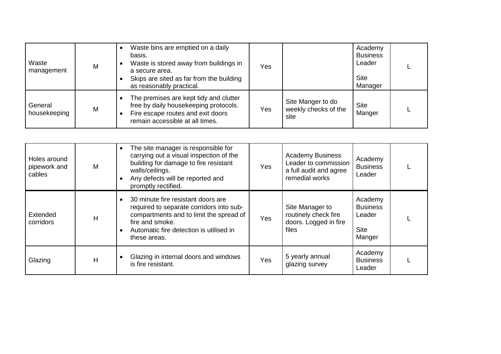| Waste<br>management     | M | Waste bins are emptied on a daily<br>basis.<br>Waste is stored away from buildings in<br>a secure area.<br>Skips are sited as far from the building<br>as reasonably practical. | Yes |                                                   | Academy<br><b>Business</b><br>Leader<br><b>Site</b><br>Manager |  |
|-------------------------|---|---------------------------------------------------------------------------------------------------------------------------------------------------------------------------------|-----|---------------------------------------------------|----------------------------------------------------------------|--|
| General<br>housekeeping | M | The premises are kept tidy and clutter<br>free by daily housekeeping protocols.<br>Fire escape routes and exit doors<br>remain accessible at all times.                         | Yes | Site Manger to do<br>weekly checks of the<br>site | <b>Site</b><br>Manger                                          |  |

| Holes around<br>pipework and<br>cables | M | The site manager is responsible for<br>carrying out a visual inspection of the<br>building for damage to fire resistant<br>walls/ceilings.<br>Any defects will be reported and<br>promptly rectified.   | Yes | <b>Academy Business</b><br>Leader to commission<br>a full audit and agree<br>remedial works | Academy<br><b>Business</b><br>Leader                          |  |
|----------------------------------------|---|---------------------------------------------------------------------------------------------------------------------------------------------------------------------------------------------------------|-----|---------------------------------------------------------------------------------------------|---------------------------------------------------------------|--|
| Extended<br>corridors                  | H | 30 minute fire resistant doors are<br>required to separate corridors into sub-<br>compartments and to limit the spread of<br>fire and smoke.<br>Automatic fire detection is utilised in<br>these areas. | Yes | Site Manager to<br>routinely check fire<br>doors. Logged in fire<br>files                   | Academy<br><b>Business</b><br>Leader<br><b>Site</b><br>Manger |  |
| Glazing                                | H | Glazing in internal doors and windows<br>is fire resistant.                                                                                                                                             | Yes | 5 yearly annual<br>glazing survey                                                           | Academy<br><b>Business</b><br>Leader                          |  |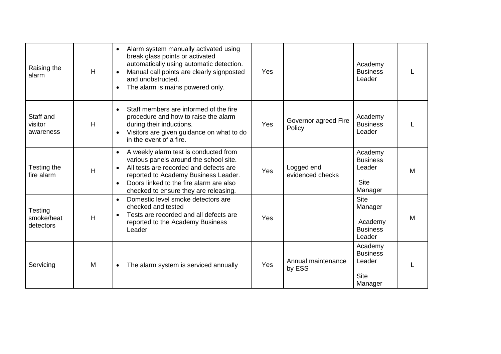| Raising the<br>alarm               | H | Alarm system manually activated using<br>$\bullet$<br>break glass points or activated<br>automatically using automatic detection.<br>Manual call points are clearly signposted<br>and unobstructed.<br>The alarm is mains powered only.               | Yes        |                                | Academy<br><b>Business</b><br>Leader                           |   |
|------------------------------------|---|-------------------------------------------------------------------------------------------------------------------------------------------------------------------------------------------------------------------------------------------------------|------------|--------------------------------|----------------------------------------------------------------|---|
| Staff and<br>visitor<br>awareness  | H | Staff members are informed of the fire<br>$\bullet$<br>procedure and how to raise the alarm<br>during their inductions.<br>Visitors are given guidance on what to do<br>in the event of a fire.                                                       | <b>Yes</b> | Governor agreed Fire<br>Policy | Academy<br><b>Business</b><br>Leader                           |   |
| Testing the<br>fire alarm          | H | A weekly alarm test is conducted from<br>various panels around the school site.<br>All tests are recorded and defects are<br>reported to Academy Business Leader.<br>Doors linked to the fire alarm are also<br>checked to ensure they are releasing. | Yes        | Logged end<br>evidenced checks | Academy<br><b>Business</b><br>Leader<br><b>Site</b><br>Manager | M |
| Testing<br>smoke/heat<br>detectors | H | Domestic level smoke detectors are<br>$\bullet$<br>checked and tested<br>Tests are recorded and all defects are<br>$\bullet$<br>reported to the Academy Business<br>Leader                                                                            | Yes        |                                | <b>Site</b><br>Manager<br>Academy<br><b>Business</b><br>Leader | M |
| Servicing                          | M | The alarm system is serviced annually                                                                                                                                                                                                                 | Yes        | Annual maintenance<br>by ESS   | Academy<br><b>Business</b><br>Leader<br><b>Site</b><br>Manager |   |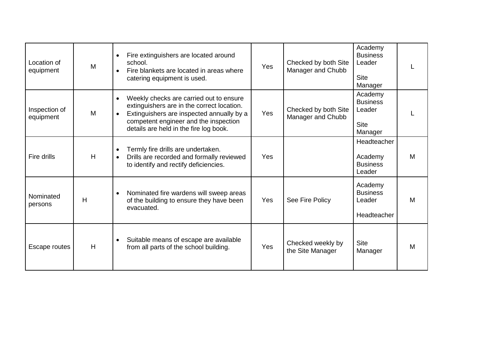| Location of<br>equipment   | M | Fire extinguishers are located around<br>$\bullet$<br>school.<br>Fire blankets are located in areas where<br>catering equipment is used.                                                                                                        | <b>Yes</b> | Checked by both Site<br>Manager and Chubb | Academy<br><b>Business</b><br>Leader<br><b>Site</b><br>Manager |   |
|----------------------------|---|-------------------------------------------------------------------------------------------------------------------------------------------------------------------------------------------------------------------------------------------------|------------|-------------------------------------------|----------------------------------------------------------------|---|
| Inspection of<br>equipment | M | Weekly checks are carried out to ensure<br>$\bullet$<br>extinguishers are in the correct location.<br>Extinguishers are inspected annually by a<br>$\bullet$<br>competent engineer and the inspection<br>details are held in the fire log book. | <b>Yes</b> | Checked by both Site<br>Manager and Chubb | Academy<br><b>Business</b><br>Leader<br><b>Site</b><br>Manager |   |
| Fire drills                | H | Termly fire drills are undertaken.<br>Drills are recorded and formally reviewed<br>to identify and rectify deficiencies.                                                                                                                        | <b>Yes</b> |                                           | Headteacher<br>Academy<br><b>Business</b><br>Leader            | M |
| Nominated<br>persons       | H | Nominated fire wardens will sweep areas<br>of the building to ensure they have been<br>evacuated.                                                                                                                                               | Yes        | See Fire Policy                           | Academy<br><b>Business</b><br>Leader<br>Headteacher            | M |
| Escape routes              | H | Suitable means of escape are available<br>from all parts of the school building.                                                                                                                                                                | Yes        | Checked weekly by<br>the Site Manager     | <b>Site</b><br>Manager                                         | M |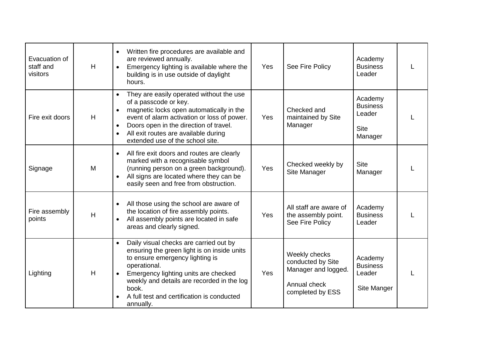| Evacuation of<br>staff and<br>visitors | H | Written fire procedures are available and<br>are reviewed annually.<br>Emergency lighting is available where the<br>building is in use outside of daylight<br>hours.                                                                                                                                            | Yes | See Fire Policy                                                                               | Academy<br><b>Business</b><br>Leader                           | L |
|----------------------------------------|---|-----------------------------------------------------------------------------------------------------------------------------------------------------------------------------------------------------------------------------------------------------------------------------------------------------------------|-----|-----------------------------------------------------------------------------------------------|----------------------------------------------------------------|---|
| Fire exit doors                        | H | They are easily operated without the use<br>of a passcode or key.<br>magnetic locks open automatically in the<br>event of alarm activation or loss of power.<br>Doors open in the direction of travel.<br>$\bullet$<br>All exit routes are available during<br>extended use of the school site.                 | Yes | Checked and<br>maintained by Site<br>Manager                                                  | Academy<br><b>Business</b><br>Leader<br><b>Site</b><br>Manager | L |
| Signage                                | M | All fire exit doors and routes are clearly<br>$\bullet$<br>marked with a recognisable symbol<br>(running person on a green background).<br>All signs are located where they can be<br>easily seen and free from obstruction.                                                                                    | Yes | Checked weekly by<br>Site Manager                                                             | <b>Site</b><br>Manager                                         | L |
| Fire assembly<br>points                | H | All those using the school are aware of<br>the location of fire assembly points.<br>All assembly points are located in safe<br>$\bullet$<br>areas and clearly signed.                                                                                                                                           | Yes | All staff are aware of<br>the assembly point.<br>See Fire Policy                              | Academy<br><b>Business</b><br>Leader                           | L |
| Lighting                               | H | Daily visual checks are carried out by<br>$\bullet$<br>ensuring the green light is on inside units<br>to ensure emergency lighting is<br>operational.<br>Emergency lighting units are checked<br>weekly and details are recorded in the log<br>book.<br>A full test and certification is conducted<br>annually. | Yes | Weekly checks<br>conducted by Site<br>Manager and logged.<br>Annual check<br>completed by ESS | Academy<br><b>Business</b><br>Leader<br>Site Manger            | L |